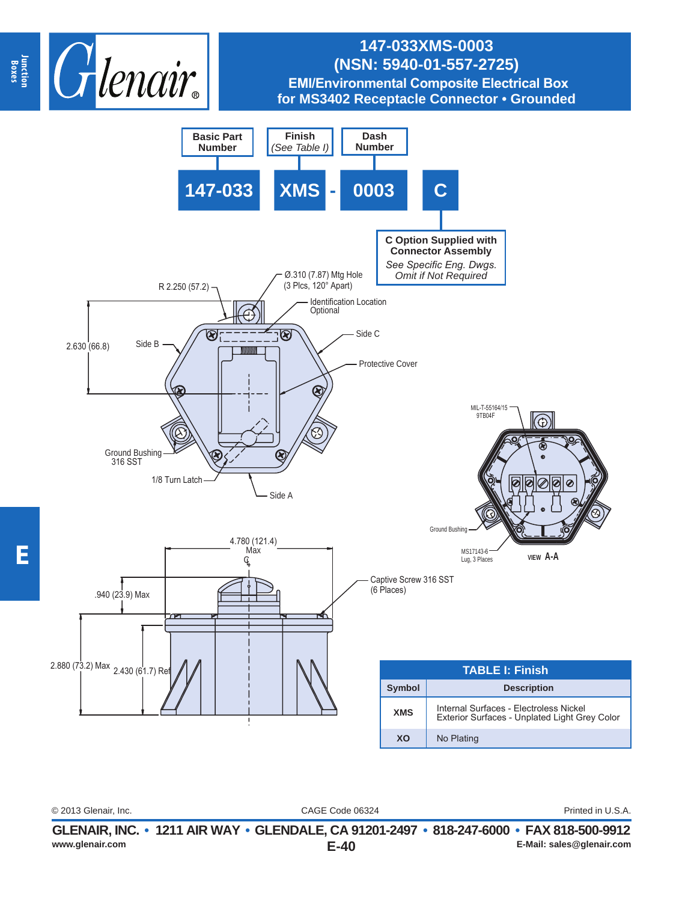

## **147-033XMS-0003 (NSN: 5940-01-557-2725) EMI/Environmental Composite Electrical Box for MS3402 Receptacle Connector • Grounded**



CAGE Code 06324 © 2013 Glenair, Inc. Printed in U.S.A.